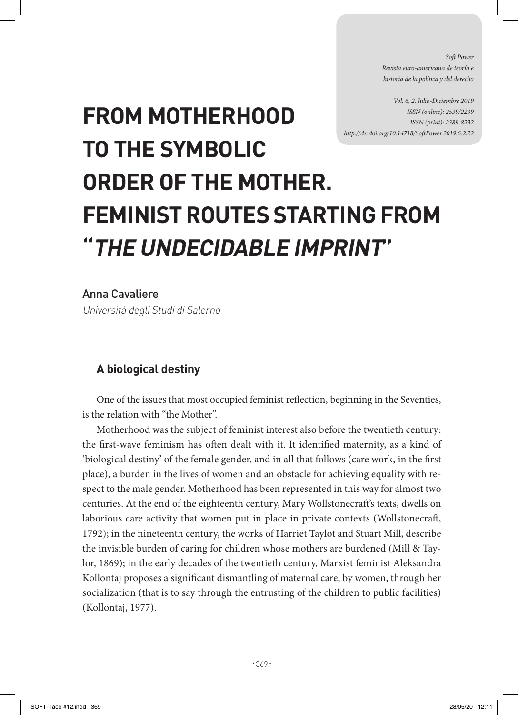*Soft Power Revista euro-americana de teoría e historia de la política y del derecho* 

*Vol. 6, 2. Julio-Diciembre 2019 ISSN (online): 2539/2239 ISSN (print): 2389-8232 http://dx.doi.org/10.14718/SoftPower.2019.6.2.22*

## **FROM MOTHERHOOD TO THE SYMBOLIC ORDER OF THE MOTHER. FEMINIST ROUTES STARTING FROM "THE UNDECIDABLE IMPRINT"**

Anna Cavaliere

Università degli Studi di Salerno

## **A biological destiny**

One of the issues that most occupied feminist reflection, beginning in the Seventies, is the relation with "the Mother".

Motherhood was the subject of feminist interest also before the twentieth century: the first-wave feminism has often dealt with it. It identified maternity, as a kind of 'biological destiny' of the female gender, and in all that follows (care work, in the first place), a burden in the lives of women and an obstacle for achieving equality with respect to the male gender. Motherhood has been represented in this way for almost two centuries. At the end of the eighteenth century, Mary Wollstonecraft's texts, dwells on laborious care activity that women put in place in private contexts (Wollstonecraft, 1792); in the nineteenth century, the works of Harriet Taylot and Stuart Mill, describe the invisible burden of caring for children whose mothers are burdened (Mill & Taylor, 1869); in the early decades of the twentieth century, Marxist feminist Aleksandra Kollontaj proposes a significant dismantling of maternal care, by women, through her socialization (that is to say through the entrusting of the children to public facilities) (Kollontaj, 1977).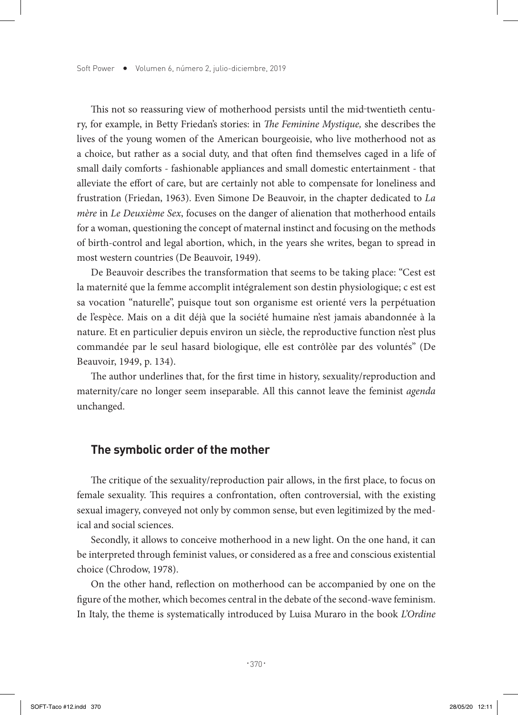This not so reassuring view of motherhood persists until the mid-twentieth century, for example, in Betty Friedan's stories: in *The Feminine Mystique,* she describes the lives of the young women of the American bourgeoisie, who live motherhood not as a choice, but rather as a social duty, and that often find themselves caged in a life of small daily comforts - fashionable appliances and small domestic entertainment - that alleviate the effort of care, but are certainly not able to compensate for loneliness and frustration (Friedan, 1963). Even Simone De Beauvoir, in the chapter dedicated to *La mère* in *Le Deuxième Sex*, focuses on the danger of alienation that motherhood entails for a woman, questioning the concept of maternal instinct and focusing on the methods of birth-control and legal abortion, which, in the years she writes, began to spread in most western countries (De Beauvoir, 1949).

De Beauvoir describes the transformation that seems to be taking place: "Cest est la maternité que la femme accomplit intégralement son destin physiologique; c est est sa vocation "naturelle", puisque tout son organisme est orienté vers la perpétuation de l'espèce. Mais on a dit déjà que la société humaine n'est jamais abandonnée à la nature. Et en particulier depuis environ un siècle, the reproductive function n'est plus commandée par le seul hasard biologique, elle est contrôlèe par des voluntés" (De Beauvoir, 1949, p. 134).

The author underlines that, for the first time in history, sexuality/reproduction and maternity/care no longer seem inseparable. All this cannot leave the feminist *agenda* unchanged.

## **The symbolic order of the mother**

The critique of the sexuality/reproduction pair allows, in the first place, to focus on female sexuality. This requires a confrontation, often controversial, with the existing sexual imagery, conveyed not only by common sense, but even legitimized by the medical and social sciences.

Secondly, it allows to conceive motherhood in a new light. On the one hand, it can be interpreted through feminist values, or considered as a free and conscious existential choice (Chrodow, 1978).

On the other hand, reflection on motherhood can be accompanied by one on the figure of the mother, which becomes central in the debate of the second-wave feminism. In Italy, the theme is systematically introduced by Luisa Muraro in the book *L'Ordine*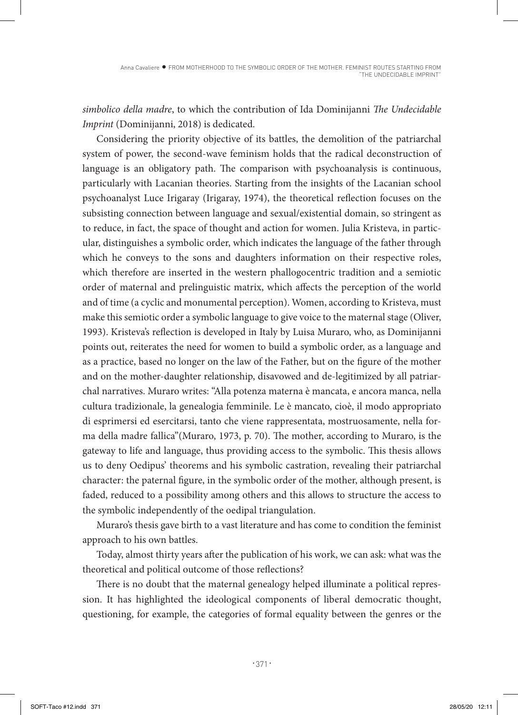*simbolico della madre*, to which the contribution of Ida Dominijanni *The Undecidable Imprint* (Dominijanni, 2018) is dedicated.

Considering the priority objective of its battles, the demolition of the patriarchal system of power, the second-wave feminism holds that the radical deconstruction of language is an obligatory path. The comparison with psychoanalysis is continuous, particularly with Lacanian theories. Starting from the insights of the Lacanian school psychoanalyst Luce Irigaray (Irigaray, 1974), the theoretical reflection focuses on the subsisting connection between language and sexual/existential domain, so stringent as to reduce, in fact, the space of thought and action for women. Julia Kristeva, in particular, distinguishes a symbolic order, which indicates the language of the father through which he conveys to the sons and daughters information on their respective roles, which therefore are inserted in the western phallogocentric tradition and a semiotic order of maternal and prelinguistic matrix, which affects the perception of the world and of time (a cyclic and monumental perception). Women, according to Kristeva, must make this semiotic order a symbolic language to give voice to the maternal stage (Oliver, 1993). Kristeva's reflection is developed in Italy by Luisa Muraro, who, as Dominijanni points out, reiterates the need for women to build a symbolic order, as a language and as a practice, based no longer on the law of the Father, but on the figure of the mother and on the mother-daughter relationship, disavowed and de-legitimized by all patriarchal narratives. Muraro writes: "Alla potenza materna è mancata, e ancora manca, nella cultura tradizionale, la genealogia femminile. Le è mancato, cioè, il modo appropriato di esprimersi ed esercitarsi, tanto che viene rappresentata, mostruosamente, nella forma della madre fallica"(Muraro, 1973, p. 70). The mother, according to Muraro, is the gateway to life and language, thus providing access to the symbolic. This thesis allows us to deny Oedipus' theorems and his symbolic castration, revealing their patriarchal character: the paternal figure, in the symbolic order of the mother, although present, is faded, reduced to a possibility among others and this allows to structure the access to the symbolic independently of the oedipal triangulation.

Muraro's thesis gave birth to a vast literature and has come to condition the feminist approach to his own battles.

Today, almost thirty years after the publication of his work, we can ask: what was the theoretical and political outcome of those reflections?

There is no doubt that the maternal genealogy helped illuminate a political repression. It has highlighted the ideological components of liberal democratic thought, questioning, for example, the categories of formal equality between the genres or the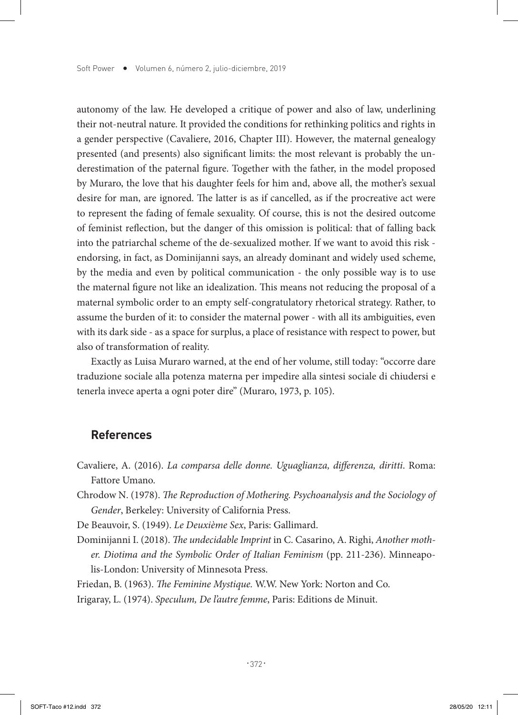autonomy of the law. He developed a critique of power and also of law, underlining their not-neutral nature. It provided the conditions for rethinking politics and rights in a gender perspective (Cavaliere, 2016, Chapter III). However, the maternal genealogy presented (and presents) also significant limits: the most relevant is probably the underestimation of the paternal figure. Together with the father, in the model proposed by Muraro, the love that his daughter feels for him and, above all, the mother's sexual desire for man, are ignored. The latter is as if cancelled, as if the procreative act were to represent the fading of female sexuality. Of course, this is not the desired outcome of feminist reflection, but the danger of this omission is political: that of falling back into the patriarchal scheme of the de-sexualized mother. If we want to avoid this risk endorsing, in fact, as Dominijanni says, an already dominant and widely used scheme, by the media and even by political communication - the only possible way is to use the maternal figure not like an idealization. This means not reducing the proposal of a maternal symbolic order to an empty self-congratulatory rhetorical strategy. Rather, to assume the burden of it: to consider the maternal power - with all its ambiguities, even with its dark side - as a space for surplus, a place of resistance with respect to power, but also of transformation of reality.

Exactly as Luisa Muraro warned, at the end of her volume, still today: "occorre dare traduzione sociale alla potenza materna per impedire alla sintesi sociale di chiudersi e tenerla invece aperta a ogni poter dire" (Muraro, 1973, p. 105).

## **References**

- Cavaliere, A. (2016). *La comparsa delle donne. Uguaglianza, differenza, diritti*. Roma: Fattore Umano.
- Chrodow N. (1978). *The Reproduction of Mothering. Psychoanalysis and the Sociology of Gender*, Berkeley: University of California Press.

De Beauvoir, S. (1949). *Le Deuxième Sex*, Paris: Gallimard.

Dominijanni I. (2018). *The undecidable Imprint* in C. Casarino, A. Righi, *Another mother. Diotima and the Symbolic Order of Italian Feminism* (pp. 211-236). Minneapolis-London: University of Minnesota Press.

Friedan, B. (1963). *The Feminine Mystique.* W.W. New York: Norton and Co.

Irigaray, L. (1974). *Speculum, De l'autre femme*, Paris: Editions de Minuit.